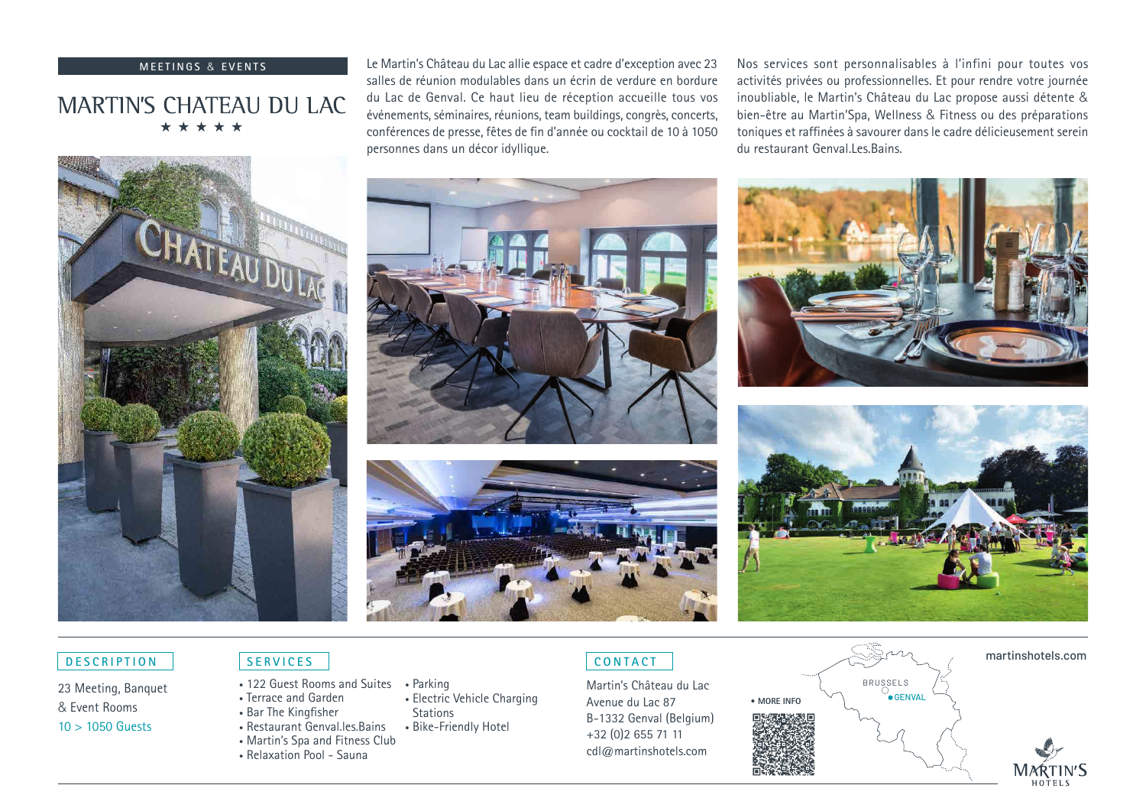### **MEETINGS & EVENTS**

# **MARTIN'S CHATEAU DU LAC** \*\*\*\*\*

Le Martin's Château du Lac allie espace et cadre d'exception avec 23 salles de réunion modulables dans un écrin de verdure en bordure du Lac de Genval. Ce haut lieu de réception accueille tous vos événements, séminaires, réunions, team buildings, congrès, concerts, conférences de presse, fêtes de fin d'année ou cocktail de 10 à 1050 personnes dans un décor idyllique.

Nos services sont personnalisables à l'infini pour toutes vos activités privées ou professionnelles. Et pour rendre votre journée inoubliable, le Martin's Château du Lac propose aussi détente & bien-être au Martin'Spa, Wellness & Fitness ou des préparations toniques et raffinées à savourer dans le cadre délicieusement serein du restaurant Genval Les Bains.







• Electric Vehicle Charging

**Stations** 





# **DESCRIPTION**

23 Meeting, Banquet & Event Rooms 10 > 1050 Guests

- 122 Guest Rooms and Suites Parking
- Terrace and Garden
- Bar The Kingfisher
- Restaurant Genval.les.Bains • Bike-Friendly Hotel
- Martin's Spa and Fitness Club
- Relaxation Pool Sauna

# **CONTACT**

Martin's Château du Lac Avenue du Lac 87 B-1332 Genval (Belgium) +32 (0)2 655 71 11 cdl@martinshotels.com



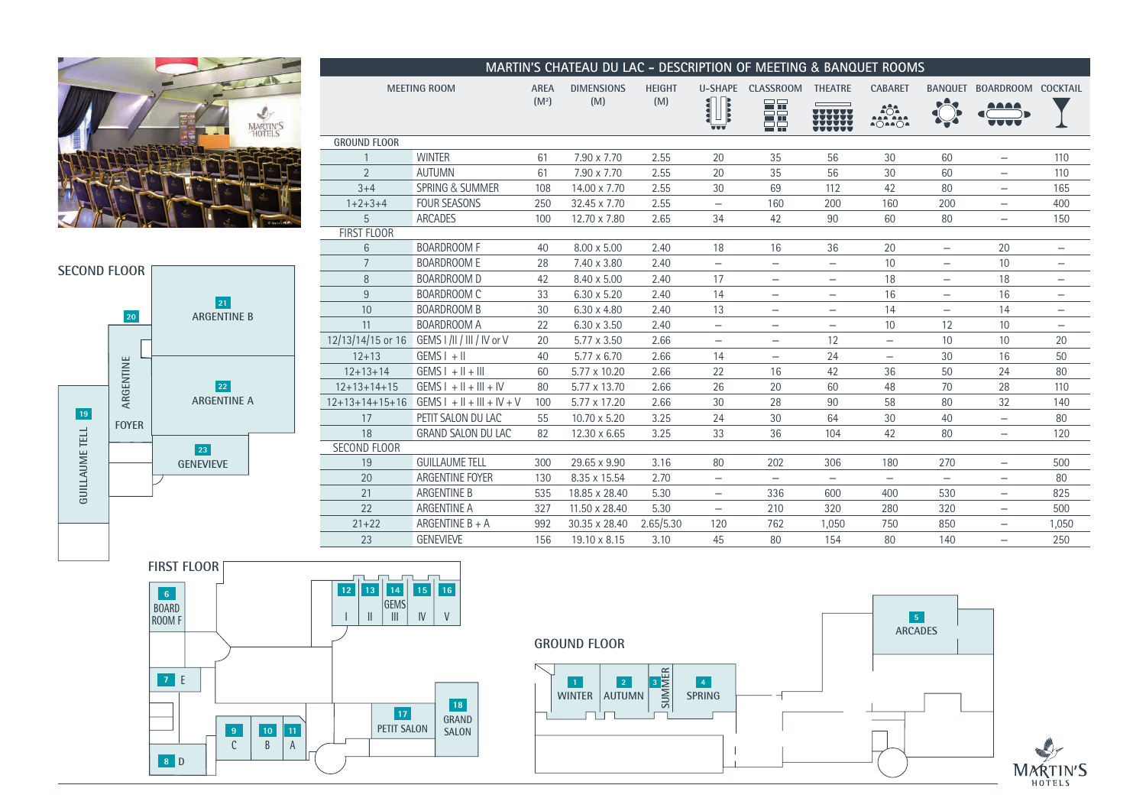



| MARTIN'S CHATEAU DU LAC - DESCRIPTION OF MEETING & BANQUET ROOMS |                              |                   |                    |               |                                        |                          |                          |                                                                                                                                                                                                                       |                          |                          |                          |
|------------------------------------------------------------------|------------------------------|-------------------|--------------------|---------------|----------------------------------------|--------------------------|--------------------------|-----------------------------------------------------------------------------------------------------------------------------------------------------------------------------------------------------------------------|--------------------------|--------------------------|--------------------------|
| <b>MEETING ROOM</b>                                              |                              | <b>AREA</b>       | <b>DIMENSIONS</b>  | <b>HEIGHT</b> | <b>U-SHAPE</b>                         | <b>CLASSROOM</b>         | <b>THEATRE</b>           | <b>CABARET</b>                                                                                                                                                                                                        | <b>BANQUET</b>           | BOARDROOM COCKTAIL       |                          |
|                                                                  |                              | (M <sup>2</sup> ) | (M)                | (M)           | AAAAA<br><b>AAAAA</b>                  | 32                       |                          | $\begin{array}{c}\n\stackrel{\frown}{\phantom{0}}\stackrel{\frown}{\phantom{0}}\stackrel{\frown}{\phantom{0}}\stackrel{\frown}{\phantom{0}}\stackrel{\frown}{\phantom{0}}\stackrel{\frown}{\phantom{0}}\n\end{array}$ |                          |                          |                          |
|                                                                  |                              |                   |                    |               | Ц<br>$\overline{\mathbf{v}\mathbf{v}}$ | $\Box$                   | <b>HHH</b>               | A○AA○A                                                                                                                                                                                                                |                          |                          |                          |
| <b>GROUND FLOOR</b>                                              |                              |                   |                    |               |                                        |                          |                          |                                                                                                                                                                                                                       |                          |                          |                          |
|                                                                  | <b>WINTER</b>                | 61                | 7.90 x 7.70        | 2.55          | 20                                     | 35                       | 56                       | 30                                                                                                                                                                                                                    | 60                       | $\overline{\phantom{m}}$ | 110                      |
| $\overline{2}$                                                   | <b>AUTUMN</b>                | 61                | 7.90 x 7.70        | 2.55          | 20                                     | 35                       | 56                       | 30                                                                                                                                                                                                                    | 60                       | $\overline{\phantom{0}}$ | 110                      |
| $3 + 4$                                                          | <b>SPRING &amp; SUMMER</b>   | 108               | 14.00 x 7.70       | 2.55          | 30                                     | 69                       | 112                      | 42                                                                                                                                                                                                                    | 80                       | -                        | 165                      |
| $1+2+3+4$                                                        | <b>FOUR SEASONS</b>          | 250               | 32.45 x 7.70       | 2.55          | $\overline{\phantom{0}}$               | 160                      | 200                      | 160                                                                                                                                                                                                                   | 200                      | $\overline{\phantom{0}}$ | 400                      |
| 5                                                                | <b>ARCADES</b>               | 100               | 12.70 x 7.80       | 2.65          | 34                                     | 42                       | 90                       | 60                                                                                                                                                                                                                    | 80                       | $\overline{\phantom{0}}$ | 150                      |
| <b>FIRST FLOOR</b>                                               |                              |                   |                    |               |                                        |                          |                          |                                                                                                                                                                                                                       |                          |                          |                          |
| $6\phantom{1}$                                                   | <b>BOARDROOM F</b>           | 40                | $8.00 \times 5.00$ | 2.40          | 18                                     | 16                       | 36                       | 20                                                                                                                                                                                                                    | $\overline{\phantom{m}}$ | 20                       | $\qquad \qquad -$        |
| $\overline{7}$                                                   | <b>BOARDROOM E</b>           | 28                | 7.40 x 3.80        | 2.40          | $\overbrace{\phantom{1232211}}$        | -                        | -                        | 10                                                                                                                                                                                                                    | -                        | 10                       | -                        |
| 8                                                                | <b>BOARDROOM D</b>           | 42                | 8.40 x 5.00        | 2.40          | 17                                     | $\qquad \qquad -$        | -                        | 18                                                                                                                                                                                                                    | -                        | 18                       | $\overline{\phantom{m}}$ |
| 9                                                                | <b>BOARDROOM C</b>           | 33                | $6.30 \times 5.20$ | 2.40          | 14                                     | $\qquad \qquad -$        | $\qquad \qquad -$        | 16                                                                                                                                                                                                                    | $\overline{\phantom{m}}$ | 16                       | $\qquad \qquad -$        |
| 10                                                               | <b>BOARDROOM B</b>           | 30                | $6.30 \times 4.80$ | 2.40          | 13                                     | -                        | -                        | 14                                                                                                                                                                                                                    | $\overline{\phantom{0}}$ | 14                       |                          |
| 11                                                               | <b>BOARDROOM A</b>           | 22                | $6.30 \times 3.50$ | 2.40          | $\overline{\phantom{m}}$               | -                        | -                        | 10                                                                                                                                                                                                                    | 12                       | 10                       |                          |
| 12/13/14/15 or 16                                                | GEMS I /II / III / IV or V   | 20                | 5.77 x 3.50        | 2.66          | $\overline{\phantom{m}}$               | $\qquad \qquad -$        | 12                       | $\qquad \qquad -$                                                                                                                                                                                                     | 10                       | 10                       | 20                       |
| $12 + 13$                                                        | $GENS I + II$                | 40                | $5.77 \times 6.70$ | 2.66          | 14                                     | —                        | 24                       |                                                                                                                                                                                                                       | 30                       | 16                       | 50                       |
| $12 + 13 + 14$                                                   | $GEMS I + II + III$          | 60                | 5.77 x 10.20       | 2.66          | 22                                     | 16                       | 42                       | 36                                                                                                                                                                                                                    | 50                       | 24                       | 80                       |
| $12+13+14+15$                                                    | $GEMS I + II + III + IV$     | 80                | 5.77 x 13.70       | 2.66          | 26                                     | 20                       | 60                       | 48                                                                                                                                                                                                                    | 70                       | 28                       | 110                      |
| $12+13+14+15+16$                                                 | $GEMS I + II + III + IV + V$ | 100               | 5.77 x 17.20       | 2.66          | 30                                     | 28                       | 90                       | 58                                                                                                                                                                                                                    | 80                       | 32                       | 140                      |
| 17                                                               | PETIT SALON DU LAC           | 55                | 10.70 x 5.20       | 3.25          | 24                                     | 30                       | 64                       | 30                                                                                                                                                                                                                    | 40                       | $\qquad \qquad -$        | 80                       |
| 18                                                               | <b>GRAND SALON DU LAC</b>    | 82                | 12.30 x 6.65       | 3.25          | 33                                     | 36                       | 104                      | 42                                                                                                                                                                                                                    | 80                       | $\overline{\phantom{m}}$ | 120                      |
| <b>SECOND FLOOR</b>                                              |                              |                   |                    |               |                                        |                          |                          |                                                                                                                                                                                                                       |                          |                          |                          |
| 19                                                               | <b>GUILLAUME TELL</b>        | 300               | 29.65 x 9.90       | 3.16          | 80                                     | 202                      | 306                      | 180                                                                                                                                                                                                                   | 270                      | $\overline{\phantom{0}}$ | 500                      |
| 20                                                               | ARGENTINE FOYER              | 130               | 8.35 x 15.54       | 2.70          | $\overline{\phantom{m}}$               | $\overline{\phantom{m}}$ | $\overline{\phantom{m}}$ | $\overline{\phantom{m}}$                                                                                                                                                                                              | $\overline{\phantom{m}}$ | $\qquad \qquad -$        | 80                       |
| 21                                                               | <b>ARGENTINE B</b>           | 535               | 18.85 x 28.40      | 5.30          | $\qquad \qquad -$                      | 336                      | 600                      | 400                                                                                                                                                                                                                   | 530                      | $\overline{\phantom{0}}$ | 825                      |
| 22                                                               | ARGENTINE A                  | 327               | 11.50 x 28.40      | 5.30          | $\overbrace{\phantom{1232211}}$        | 210                      | 320                      | 280                                                                                                                                                                                                                   | 320                      | $\overline{\phantom{m}}$ | 500                      |
| $21 + 22$                                                        | ARGENTINE B + A              | 992               | 30.35 x 28.40      | 2.65/5.30     | 120                                    | 762                      | 1.050                    | 750                                                                                                                                                                                                                   | 850                      | $\overline{\phantom{m}}$ | 1,050                    |
| 23                                                               | <b>GENEVIEVE</b>             | 156               | 19.10 x 8.15       | 3.10          | 45                                     | 80                       | 154                      | 80                                                                                                                                                                                                                    | 140                      | $\overline{\phantom{0}}$ | 250                      |



 $\overline{\phantom{a}}$